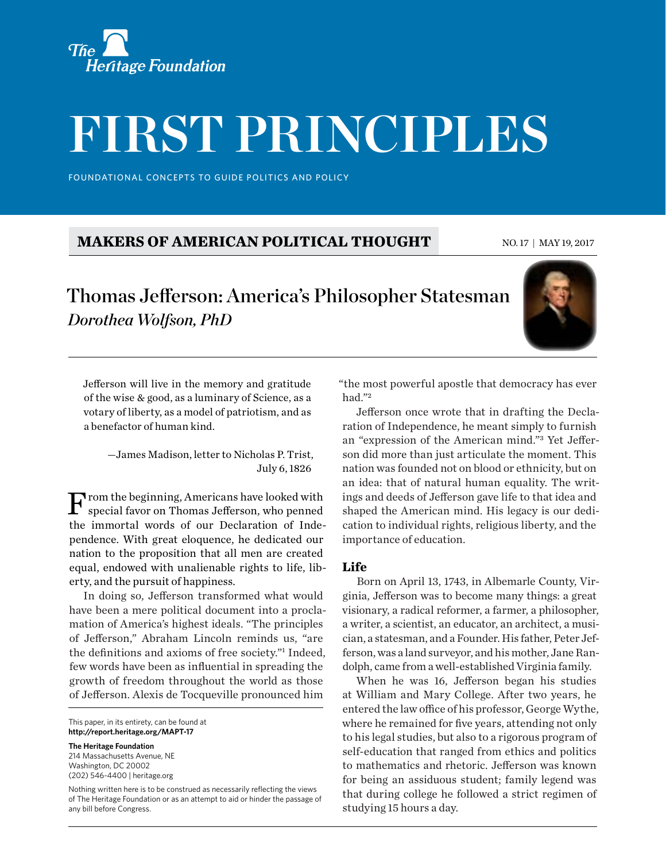

# **FIRST PRINCIPLES**

FOUNDATIONAL CONCEPTS TO GUIDE POLITICS AND POLICY

# **MAKERS OF AMERICAN POLITICAL THOUGHT**

NO. 17 | May 19, 2017

# Thomas Jefferson: America's Philosopher Statesman *Dorothea Wolfson, PhD*



Jefferson will live in the memory and gratitude of the wise & good, as a luminary of Science, as a votary of liberty, as a model of patriotism, and as a benefactor of human kind.

> —James Madison, letter to Nicholas P. Trist, July 6, 1826

From the beginning, Americans have looked with special favor on Thomas Jefferson, who penned the immortal words of our Declaration of Independence. With great eloquence, he dedicated our nation to the proposition that all men are created equal, endowed with unalienable rights to life, liberty, and the pursuit of happiness.

In doing so, Jefferson transformed what would have been a mere political document into a proclamation of America's highest ideals. "The principles of Jefferson," Abraham Lincoln reminds us, "are the definitions and axioms of free society."1 Indeed, few words have been as influential in spreading the growth of freedom throughout the world as those of Jefferson. Alexis de Tocqueville pronounced him

This paper, in its entirety, can be found at **http://report.heritage.org/MAPT-17**

**The Heritage Foundation** 214 Massachusetts Avenue, NE Washington, DC 20002 (202) 546-4400 | heritage.org

Nothing written here is to be construed as necessarily reflecting the views of The Heritage Foundation or as an attempt to aid or hinder the passage of any bill before Congress.

"the most powerful apostle that democracy has ever had."2

Jefferson once wrote that in drafting the Declaration of Independence, he meant simply to furnish an "expression of the American mind."3 Yet Jefferson did more than just articulate the moment. This nation was founded not on blood or ethnicity, but on an idea: that of natural human equality. The writings and deeds of Jefferson gave life to that idea and shaped the American mind. His legacy is our dedication to individual rights, religious liberty, and the importance of education.

#### **Life**

Born on April 13, 1743, in Albemarle County, Virginia, Jefferson was to become many things: a great visionary, a radical reformer, a farmer, a philosopher, a writer, a scientist, an educator, an architect, a musician, a statesman, and a Founder. His father, Peter Jefferson, was a land surveyor, and his mother, Jane Randolph, came from a well-established Virginia family.

When he was 16, Jefferson began his studies at William and Mary College. After two years, he entered the law office of his professor, George Wythe, where he remained for five years, attending not only to his legal studies, but also to a rigorous program of self-education that ranged from ethics and politics to mathematics and rhetoric. Jefferson was known for being an assiduous student; family legend was that during college he followed a strict regimen of studying 15 hours a day.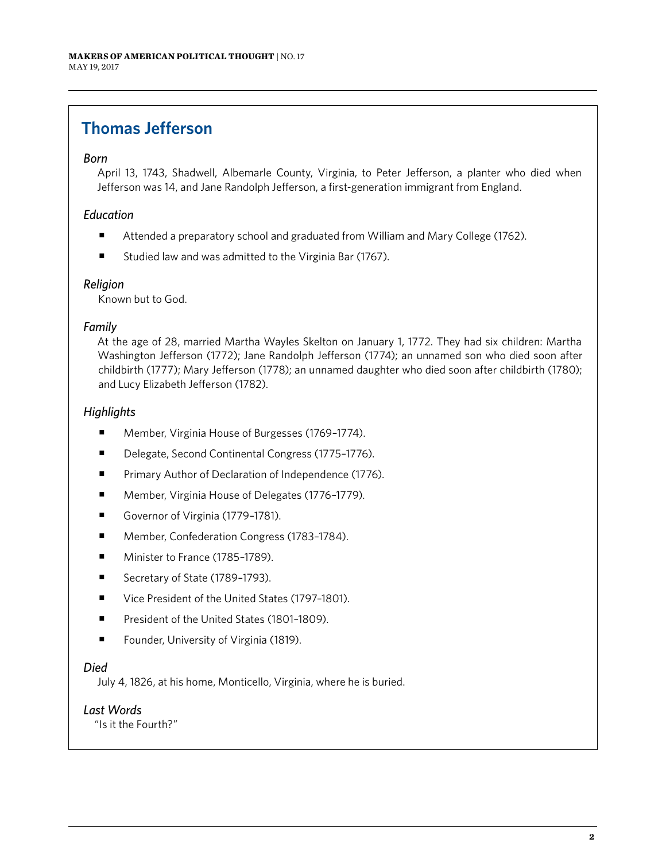# **Thomas Jefferson**

### *Born*

April 13, 1743, Shadwell, Albemarle County, Virginia, to Peter Jefferson, a planter who died when Jefferson was 14, and Jane Randolph Jefferson, a first-generation immigrant from England.

# *Education*

- Attended a preparatory school and graduated from William and Mary College (1762).
- Studied law and was admitted to the Virginia Bar (1767).

# *Religion*

Known but to God.

# *Family*

At the age of 28, married Martha Wayles Skelton on January 1, 1772. They had six children: Martha Washington Jefferson (1772); Jane Randolph Jefferson (1774); an unnamed son who died soon after childbirth (1777); Mary Jefferson (1778); an unnamed daughter who died soon after childbirth (1780); and Lucy Elizabeth Jefferson (1782).

# *Highlights*

- Member, Virginia House of Burgesses (1769-1774).
- Delegate, Second Continental Congress (1775-1776).
- Primary Author of Declaration of Independence (1776).
- Member, Virginia House of Delegates (1776-1779).
- Governor of Virginia (1779-1781).
- Member, Confederation Congress (1783-1784).
- Minister to France (1785-1789).
- Secretary of State (1789-1793).
- Vice President of the United States (1797-1801).
- President of the United States (1801-1809).
- Founder, University of Virginia (1819).

#### *Died*

July 4, 1826, at his home, Monticello, Virginia, where he is buried.

# *Last Words*

"Is it the Fourth?"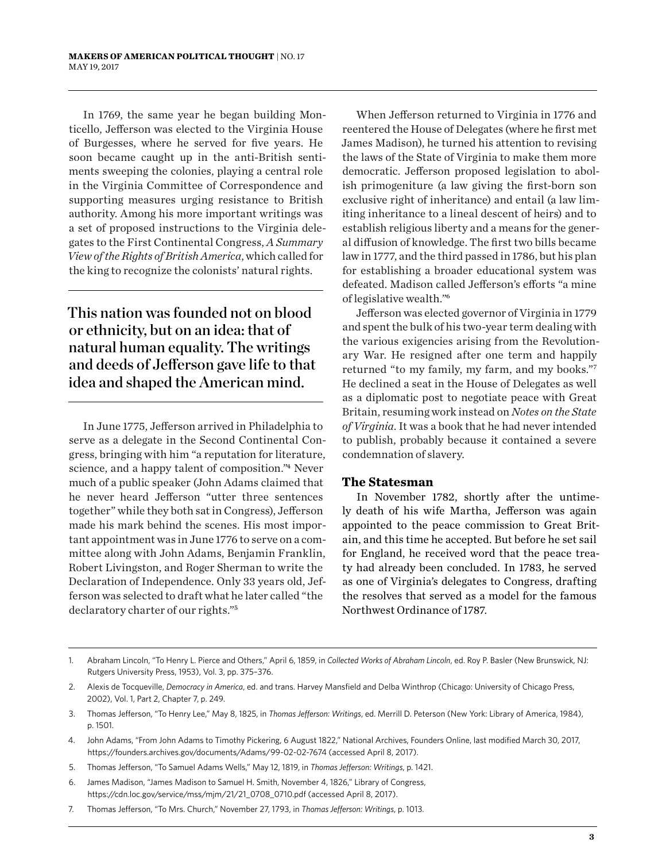In 1769, the same year he began building Monticello, Jefferson was elected to the Virginia House of Burgesses, where he served for five years. He soon became caught up in the anti-British sentiments sweeping the colonies, playing a central role in the Virginia Committee of Correspondence and supporting measures urging resistance to British authority. Among his more important writings was a set of proposed instructions to the Virginia delegates to the First Continental Congress, *A Summary View of the Rights of British America*, which called for the king to recognize the colonists' natural rights.

This nation was founded not on blood or ethnicity, but on an idea: that of natural human equality. The writings and deeds of Jefferson gave life to that idea and shaped the American mind.

In June 1775, Jefferson arrived in Philadelphia to serve as a delegate in the Second Continental Congress, bringing with him "a reputation for literature, science, and a happy talent of composition."4 Never much of a public speaker (John Adams claimed that he never heard Jefferson "utter three sentences together" while they both sat in Congress), Jefferson made his mark behind the scenes. His most important appointment was in June 1776 to serve on a committee along with John Adams, Benjamin Franklin, Robert Livingston, and Roger Sherman to write the Declaration of Independence. Only 33 years old, Jefferson was selected to draft what he later called "the declaratory charter of our rights."5

When Jefferson returned to Virginia in 1776 and reentered the House of Delegates (where he first met James Madison), he turned his attention to revising the laws of the State of Virginia to make them more democratic. Jefferson proposed legislation to abolish primogeniture (a law giving the first-born son exclusive right of inheritance) and entail (a law limiting inheritance to a lineal descent of heirs) and to establish religious liberty and a means for the general diffusion of knowledge. The first two bills became law in 1777, and the third passed in 1786, but his plan for establishing a broader educational system was defeated. Madison called Jefferson's efforts "a mine of legislative wealth."6

Jefferson was elected governor of Virginia in 1779 and spent the bulk of his two-year term dealing with the various exigencies arising from the Revolutionary War. He resigned after one term and happily returned "to my family, my farm, and my books."7 He declined a seat in the House of Delegates as well as a diplomatic post to negotiate peace with Great Britain, resuming work instead on *Notes on the State of Virginia*. It was a book that he had never intended to publish, probably because it contained a severe condemnation of slavery.

#### **The Statesman**

In November 1782, shortly after the untimely death of his wife Martha, Jefferson was again appointed to the peace commission to Great Britain, and this time he accepted. But before he set sail for England, he received word that the peace treaty had already been concluded. In 1783, he served as one of Virginia's delegates to Congress, drafting the resolves that served as a model for the famous Northwest Ordinance of 1787.

- 5. Thomas Jefferson, "To Samuel Adams Wells," May 12, 1819, in *Thomas Jefferson: Writings*, p. 1421.
- 6. James Madison, "James Madison to Samuel H. Smith, November 4, 1826," Library of Congress, https://cdn.loc.gov/service/mss/mjm/21/21\_0708\_0710.pdf (accessed April 8, 2017).
- 7. Thomas Jefferson, "To Mrs. Church," November 27, 1793, in *Thomas Jefferson: Writings*, p. 1013.

<sup>1.</sup> Abraham Lincoln, "To Henry L. Pierce and Others," April 6, 1859, in *Collected Works of Abraham Lincoln*, ed. Roy P. Basler (New Brunswick, NJ: Rutgers University Press, 1953), Vol. 3, pp. 375–376.

<sup>2.</sup> Alexis de Tocqueville, *Democracy in America*, ed. and trans. Harvey Mansfield and Delba Winthrop (Chicago: University of Chicago Press, 2002), Vol. 1, Part 2, Chapter 7, p. 249.

<sup>3.</sup> Thomas Jefferson, "To Henry Lee," May 8, 1825, in *Thomas Jefferson: Writings*, ed. Merrill D. Peterson (New York: Library of America, 1984), p. 1501.

<sup>4.</sup> John Adams, "From John Adams to Timothy Pickering, 6 August 1822," National Archives, Founders Online, last modified March 30, 2017, https://founders.archives.gov/documents/Adams/99-02-02-7674 (accessed April 8, 2017).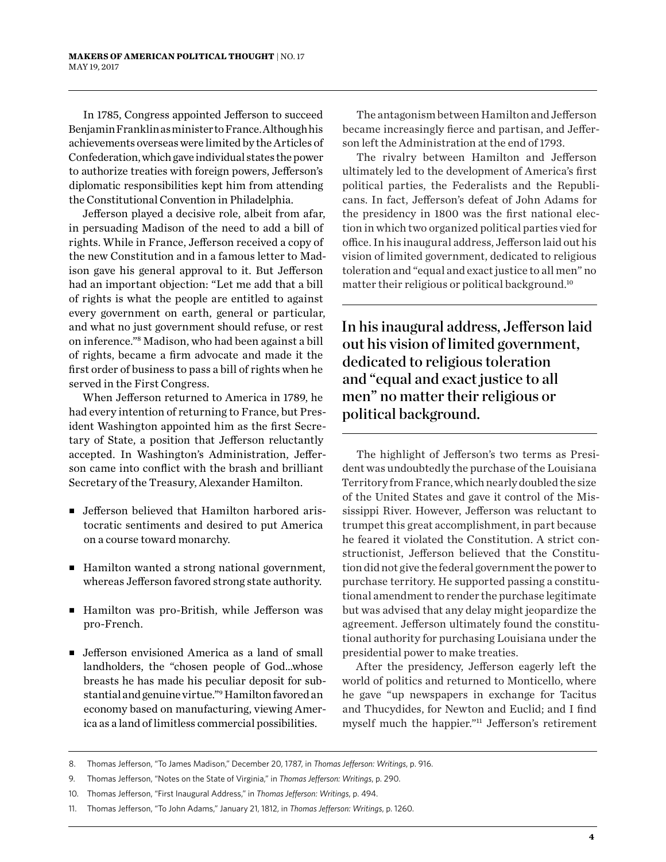In 1785, Congress appointed Jefferson to succeed Benjamin Franklin as minister to France. Although his achievements overseas were limited by the Articles of Confederation, which gave individual states the power to authorize treaties with foreign powers, Jefferson's diplomatic responsibilities kept him from attending the Constitutional Convention in Philadelphia.

Jefferson played a decisive role, albeit from afar, in persuading Madison of the need to add a bill of rights. While in France, Jefferson received a copy of the new Constitution and in a famous letter to Madison gave his general approval to it. But Jefferson had an important objection: "Let me add that a bill of rights is what the people are entitled to against every government on earth, general or particular, and what no just government should refuse, or rest on inference."8 Madison, who had been against a bill of rights, became a firm advocate and made it the first order of business to pass a bill of rights when he served in the First Congress.

When Jefferson returned to America in 1789, he had every intention of returning to France, but President Washington appointed him as the first Secretary of State, a position that Jefferson reluctantly accepted. In Washington's Administration, Jefferson came into conflict with the brash and brilliant Secretary of the Treasury, Alexander Hamilton.

- Jefferson believed that Hamilton harbored aristocratic sentiments and desired to put America on a course toward monarchy.
- Hamilton wanted a strong national government, whereas Jefferson favored strong state authority.
- Hamilton was pro-British, while Jefferson was pro-French.
- Jefferson envisioned America as a land of small landholders, the "chosen people of God…whose breasts he has made his peculiar deposit for substantial and genuine virtue."9 Hamilton favored an economy based on manufacturing, viewing America as a land of limitless commercial possibilities.

The antagonism between Hamilton and Jefferson became increasingly fierce and partisan, and Jefferson left the Administration at the end of 1793.

The rivalry between Hamilton and Jefferson ultimately led to the development of America's first political parties, the Federalists and the Republicans. In fact, Jefferson's defeat of John Adams for the presidency in 1800 was the first national election in which two organized political parties vied for office. In his inaugural address, Jefferson laid out his vision of limited government, dedicated to religious toleration and "equal and exact justice to all men" no matter their religious or political background.<sup>10</sup>

In his inaugural address, Jefferson laid out his vision of limited government, dedicated to religious toleration and "equal and exact justice to all men" no matter their religious or political background.

The highlight of Jefferson's two terms as President was undoubtedly the purchase of the Louisiana Territory from France, which nearly doubled the size of the United States and gave it control of the Mississippi River. However, Jefferson was reluctant to trumpet this great accomplishment, in part because he feared it violated the Constitution. A strict constructionist, Jefferson believed that the Constitution did not give the federal government the power to purchase territory. He supported passing a constitutional amendment to render the purchase legitimate but was advised that any delay might jeopardize the agreement. Jefferson ultimately found the constitutional authority for purchasing Louisiana under the presidential power to make treaties.

After the presidency, Jefferson eagerly left the world of politics and returned to Monticello, where he gave "up newspapers in exchange for Tacitus and Thucydides, for Newton and Euclid; and I find myself much the happier."11 Jefferson's retirement

<sup>8.</sup> Thomas Jefferson, "To James Madison," December 20, 1787, in *Thomas Jefferson: Writings*, p. 916.

<sup>9.</sup> Thomas Jefferson, "Notes on the State of Virginia," in *Thomas Jefferson: Writings*, p. 290.

<sup>10.</sup> Thomas Jefferson, "First Inaugural Address," in *Thomas Jefferson: Writings*, p. 494.

<sup>11.</sup> Thomas Jefferson, "To John Adams," January 21, 1812, in *Thomas Jefferson: Writings*, p. 1260.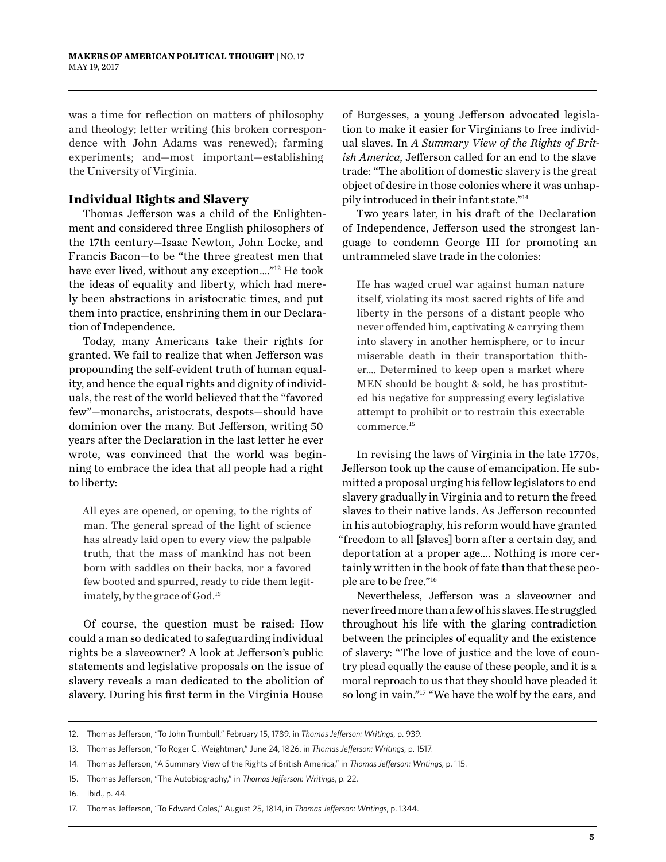was a time for reflection on matters of philosophy and theology; letter writing (his broken correspondence with John Adams was renewed); farming experiments; and—most important—establishing the University of Virginia.

### **Individual Rights and Slavery**

Thomas Jefferson was a child of the Enlightenment and considered three English philosophers of the 17th century—Isaac Newton, John Locke, and Francis Bacon—to be "the three greatest men that have ever lived, without any exception...."<sup>12</sup> He took the ideas of equality and liberty, which had merely been abstractions in aristocratic times, and put them into practice, enshrining them in our Declaration of Independence.

Today, many Americans take their rights for granted. We fail to realize that when Jefferson was propounding the self-evident truth of human equality, and hence the equal rights and dignity of individuals, the rest of the world believed that the "favored few"—monarchs, aristocrats, despots—should have dominion over the many. But Jefferson, writing 50 years after the Declaration in the last letter he ever wrote, was convinced that the world was beginning to embrace the idea that all people had a right to liberty:

All eyes are opened, or opening, to the rights of man. The general spread of the light of science has already laid open to every view the palpable truth, that the mass of mankind has not been born with saddles on their backs, nor a favored few booted and spurred, ready to ride them legitimately, by the grace of God.<sup>13</sup>

Of course, the question must be raised: How could a man so dedicated to safeguarding individual rights be a slaveowner? A look at Jefferson's public statements and legislative proposals on the issue of slavery reveals a man dedicated to the abolition of slavery. During his first term in the Virginia House

of Burgesses, a young Jefferson advocated legislation to make it easier for Virginians to free individual slaves. In *A Summary View of the Rights of British America*, Jefferson called for an end to the slave trade: "The abolition of domestic slavery is the great object of desire in those colonies where it was unhappily introduced in their infant state."14

Two years later, in his draft of the Declaration of Independence, Jefferson used the strongest language to condemn George III for promoting an untrammeled slave trade in the colonies:

He has waged cruel war against human nature itself, violating its most sacred rights of life and liberty in the persons of a distant people who never offended him, captivating & carrying them into slavery in another hemisphere, or to incur miserable death in their transportation thither.… Determined to keep open a market where MEN should be bought & sold, he has prostituted his negative for suppressing every legislative attempt to prohibit or to restrain this execrable commerce.15

In revising the laws of Virginia in the late 1770s, Jefferson took up the cause of emancipation. He submitted a proposal urging his fellow legislators to end slavery gradually in Virginia and to return the freed slaves to their native lands. As Jefferson recounted in his autobiography, his reform would have granted "freedom to all [slaves] born after a certain day, and deportation at a proper age…. Nothing is more certainly written in the book of fate than that these people are to be free."16

Nevertheless, Jefferson was a slaveowner and never freed more than a few of his slaves. He struggled throughout his life with the glaring contradiction between the principles of equality and the existence of slavery: "The love of justice and the love of country plead equally the cause of these people, and it is a moral reproach to us that they should have pleaded it so long in vain."17 "We have the wolf by the ears, and

<sup>12.</sup> Thomas Jefferson, "To John Trumbull," February 15, 1789, in *Thomas Jefferson: Writings*, p. 939.

<sup>13.</sup> Thomas Jefferson, "To Roger C. Weightman," June 24, 1826, in *Thomas Jefferson: Writings*, p. 1517.

<sup>14.</sup> Thomas Jefferson, "A Summary View of the Rights of British America," in *Thomas Jefferson: Writings*, p. 115.

<sup>15.</sup> Thomas Jefferson, "The Autobiography," in *Thomas Jefferson: Writings*, p. 22.

<sup>16.</sup> Ibid., p. 44.

<sup>17.</sup> Thomas Jefferson, "To Edward Coles," August 25, 1814, in *Thomas Jefferson: Writings*, p. 1344.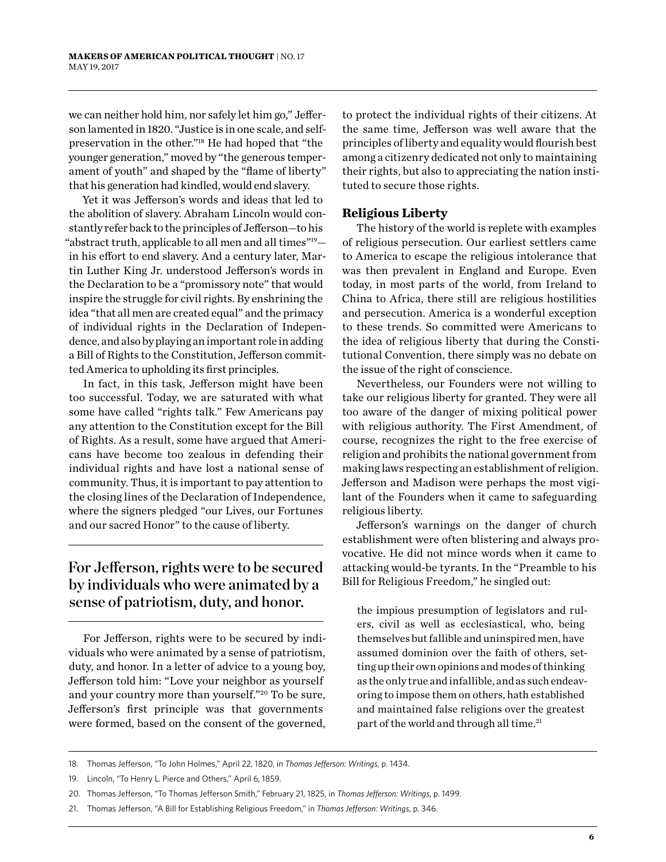we can neither hold him, nor safely let him go," Jefferson lamented in 1820. "Justice is in one scale, and selfpreservation in the other."18 He had hoped that "the younger generation," moved by "the generous temperament of youth" and shaped by the "flame of liberty" that his generation had kindled, would end slavery.

Yet it was Jefferson's words and ideas that led to the abolition of slavery. Abraham Lincoln would constantly refer back to the principles of Jefferson—to his "abstract truth, applicable to all men and all times"19 in his effort to end slavery. And a century later, Martin Luther King Jr. understood Jefferson's words in the Declaration to be a "promissory note" that would inspire the struggle for civil rights. By enshrining the idea "that all men are created equal" and the primacy of individual rights in the Declaration of Independence, and also by playing an important role in adding a Bill of Rights to the Constitution, Jefferson committed America to upholding its first principles.

In fact, in this task, Jefferson might have been too successful. Today, we are saturated with what some have called "rights talk." Few Americans pay any attention to the Constitution except for the Bill of Rights. As a result, some have argued that Americans have become too zealous in defending their individual rights and have lost a national sense of community. Thus, it is important to pay attention to the closing lines of the Declaration of Independence, where the signers pledged "our Lives, our Fortunes and our sacred Honor" to the cause of liberty.

# For Jefferson, rights were to be secured by individuals who were animated by a sense of patriotism, duty, and honor.

For Jefferson, rights were to be secured by individuals who were animated by a sense of patriotism, duty, and honor. In a letter of advice to a young boy, Jefferson told him: "Love your neighbor as yourself and your country more than yourself."20 To be sure, Jefferson's first principle was that governments were formed, based on the consent of the governed, to protect the individual rights of their citizens. At the same time, Jefferson was well aware that the principles of liberty and equality would flourish best among a citizenry dedicated not only to maintaining their rights, but also to appreciating the nation instituted to secure those rights.

#### **Religious Liberty**

The history of the world is replete with examples of religious persecution. Our earliest settlers came to America to escape the religious intolerance that was then prevalent in England and Europe. Even today, in most parts of the world, from Ireland to China to Africa, there still are religious hostilities and persecution. America is a wonderful exception to these trends. So committed were Americans to the idea of religious liberty that during the Constitutional Convention, there simply was no debate on the issue of the right of conscience.

Nevertheless, our Founders were not willing to take our religious liberty for granted. They were all too aware of the danger of mixing political power with religious authority. The First Amendment, of course, recognizes the right to the free exercise of religion and prohibits the national government from making laws respecting an establishment of religion. Jefferson and Madison were perhaps the most vigilant of the Founders when it came to safeguarding religious liberty.

Jefferson's warnings on the danger of church establishment were often blistering and always provocative. He did not mince words when it came to attacking would-be tyrants. In the "Preamble to his Bill for Religious Freedom," he singled out:

the impious presumption of legislators and rulers, civil as well as ecclesiastical, who, being themselves but fallible and uninspired men, have assumed dominion over the faith of others, setting up their own opinions and modes of thinking as the only true and infallible, and as such endeavoring to impose them on others, hath established and maintained false religions over the greatest part of the world and through all time.<sup>21</sup>

21. Thomas Jefferson, "A Bill for Establishing Religious Freedom," in *Thomas Jefferson: Writings*, p. 346.

<sup>18.</sup> Thomas Jefferson, "To John Holmes," April 22, 1820, in *Thomas Jefferson: Writings*, p. 1434.

<sup>19.</sup> Lincoln, "To Henry L. Pierce and Others," April 6, 1859.

<sup>20.</sup> Thomas Jefferson, "To Thomas Jefferson Smith," February 21, 1825, in *Thomas Jefferson: Writings*, p. 1499.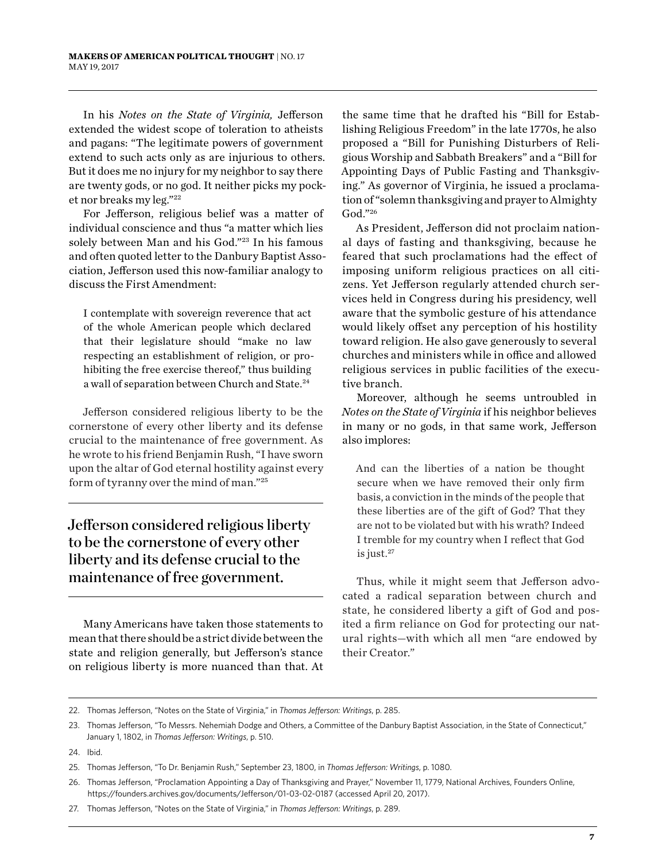In his *Notes on the State of Virginia,* Jefferson extended the widest scope of toleration to atheists and pagans: "The legitimate powers of government extend to such acts only as are injurious to others. But it does me no injury for my neighbor to say there are twenty gods, or no god. It neither picks my pocket nor breaks my leg."22

For Jefferson, religious belief was a matter of individual conscience and thus "a matter which lies solely between Man and his God."23 In his famous and often quoted letter to the Danbury Baptist Association, Jefferson used this now-familiar analogy to discuss the First Amendment:

I contemplate with sovereign reverence that act of the whole American people which declared that their legislature should "make no law respecting an establishment of religion, or prohibiting the free exercise thereof," thus building a wall of separation between Church and State.<sup>24</sup>

Jefferson considered religious liberty to be the cornerstone of every other liberty and its defense crucial to the maintenance of free government. As he wrote to his friend Benjamin Rush, "I have sworn upon the altar of God eternal hostility against every form of tyranny over the mind of man."25

Jefferson considered religious liberty to be the cornerstone of every other liberty and its defense crucial to the maintenance of free government.

Many Americans have taken those statements to mean that there should be a strict divide between the state and religion generally, but Jefferson's stance on religious liberty is more nuanced than that. At the same time that he drafted his "Bill for Establishing Religious Freedom" in the late 1770s, he also proposed a "Bill for Punishing Disturbers of Religious Worship and Sabbath Breakers" and a "Bill for Appointing Days of Public Fasting and Thanksgiving." As governor of Virginia, he issued a proclamation of "solemn thanksgiving and prayer to Almighty God."26

As President, Jefferson did not proclaim national days of fasting and thanksgiving, because he feared that such proclamations had the effect of imposing uniform religious practices on all citizens. Yet Jefferson regularly attended church services held in Congress during his presidency, well aware that the symbolic gesture of his attendance would likely offset any perception of his hostility toward religion. He also gave generously to several churches and ministers while in office and allowed religious services in public facilities of the executive branch.

Moreover, although he seems untroubled in *Notes on the State of Virginia* if his neighbor believes in many or no gods, in that same work, Jefferson also implores:

And can the liberties of a nation be thought secure when we have removed their only firm basis, a conviction in the minds of the people that these liberties are of the gift of God? That they are not to be violated but with his wrath? Indeed I tremble for my country when I reflect that God is just. $27$ 

Thus, while it might seem that Jefferson advocated a radical separation between church and state, he considered liberty a gift of God and posited a firm reliance on God for protecting our natural rights—with which all men "are endowed by their Creator."

<sup>22.</sup> Thomas Jefferson, "Notes on the State of Virginia," in *Thomas Jefferson: Writings*, p. 285.

<sup>23.</sup> Thomas Jefferson, "To Messrs. Nehemiah Dodge and Others, a Committee of the Danbury Baptist Association, in the State of Connecticut," January 1, 1802, in *Thomas Jefferson: Writings*, p. 510.

<sup>24.</sup> Ibid.

<sup>25.</sup> Thomas Jefferson, "To Dr. Benjamin Rush," September 23, 1800, in *Thomas Jefferson: Writings*, p. 1080.

<sup>26.</sup> Thomas Jefferson, "Proclamation Appointing a Day of Thanksgiving and Prayer," November 11, 1779, National Archives, Founders Online, https://founders.archives.gov/documents/Jefferson/01-03-02-0187 (accessed April 20, 2017).

<sup>27.</sup> Thomas Jefferson, "Notes on the State of Virginia," in *Thomas Jefferson: Writings*, p. 289.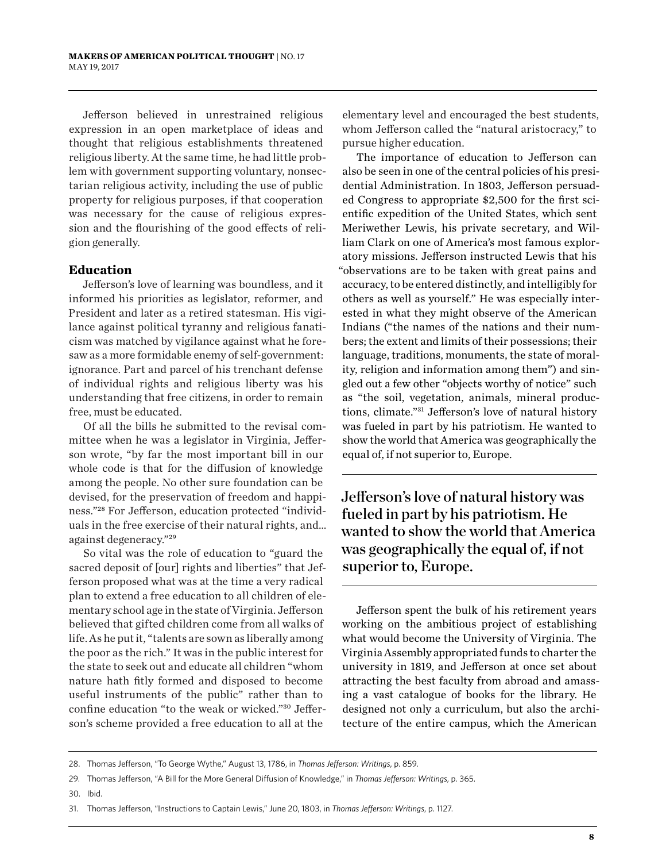Jefferson believed in unrestrained religious expression in an open marketplace of ideas and thought that religious establishments threatened religious liberty. At the same time, he had little problem with government supporting voluntary, nonsectarian religious activity, including the use of public property for religious purposes, if that cooperation was necessary for the cause of religious expression and the flourishing of the good effects of religion generally.

#### **Education**

Jefferson's love of learning was boundless, and it informed his priorities as legislator, reformer, and President and later as a retired statesman. His vigilance against political tyranny and religious fanaticism was matched by vigilance against what he foresaw as a more formidable enemy of self-government: ignorance. Part and parcel of his trenchant defense of individual rights and religious liberty was his understanding that free citizens, in order to remain free, must be educated.

Of all the bills he submitted to the revisal committee when he was a legislator in Virginia, Jefferson wrote, "by far the most important bill in our whole code is that for the diffusion of knowledge among the people. No other sure foundation can be devised, for the preservation of freedom and happiness."28 For Jefferson, education protected "individuals in the free exercise of their natural rights, and… against degeneracy."29

So vital was the role of education to "guard the sacred deposit of [our] rights and liberties" that Jefferson proposed what was at the time a very radical plan to extend a free education to all children of elementary school age in the state of Virginia. Jefferson believed that gifted children come from all walks of life. As he put it, "talents are sown as liberally among the poor as the rich." It was in the public interest for the state to seek out and educate all children "whom nature hath fitly formed and disposed to become useful instruments of the public" rather than to confine education "to the weak or wicked."30 Jefferson's scheme provided a free education to all at the

elementary level and encouraged the best students, whom Jefferson called the "natural aristocracy," to pursue higher education.

The importance of education to Jefferson can also be seen in one of the central policies of his presidential Administration. In 1803, Jefferson persuaded Congress to appropriate \$2,500 for the first scientific expedition of the United States, which sent Meriwether Lewis, his private secretary, and William Clark on one of America's most famous exploratory missions. Jefferson instructed Lewis that his "observations are to be taken with great pains and accuracy, to be entered distinctly, and intelligibly for others as well as yourself." He was especially interested in what they might observe of the American Indians ("the names of the nations and their numbers; the extent and limits of their possessions; their language, traditions, monuments, the state of morality, religion and information among them") and singled out a few other "objects worthy of notice" such as "the soil, vegetation, animals, mineral productions, climate."31 Jefferson's love of natural history was fueled in part by his patriotism. He wanted to show the world that America was geographically the equal of, if not superior to, Europe.

Jefferson's love of natural history was fueled in part by his patriotism. He wanted to show the world that America was geographically the equal of, if not superior to, Europe.

Jefferson spent the bulk of his retirement years working on the ambitious project of establishing what would become the University of Virginia. The Virginia Assembly appropriated funds to charter the university in 1819, and Jefferson at once set about attracting the best faculty from abroad and amassing a vast catalogue of books for the library. He designed not only a curriculum, but also the architecture of the entire campus, which the American

30. Ibid.

<sup>28.</sup> Thomas Jefferson, "To George Wythe," August 13, 1786, in *Thomas Jefferson: Writings*, p. 859.

<sup>29.</sup> Thomas Jefferson, "A Bill for the More General Diffusion of Knowledge," in *Thomas Jefferson: Writings*, p. 365.

<sup>31.</sup> Thomas Jefferson, "Instructions to Captain Lewis," June 20, 1803, in *Thomas Jefferson: Writings*, p. 1127.